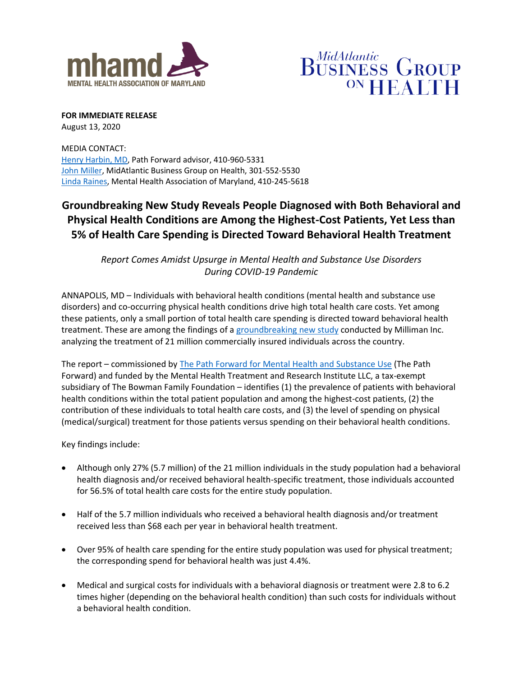



**FOR IMMEDIATE RELEASE** August 13, 2020

MEDIA CONTACT: [Henry Harbin, MD,](mailto:htharbin@aol.com) Path Forward advisor, 410-960-5331 [John Miller,](mailto:john.miller@mabgh.org) MidAtlantic Business Group on Health, 301-552-5530 [Linda Raines,](mailto:lraines@mhamd.org) Mental Health Association of Maryland, 410-245-5618

# **Groundbreaking New Study Reveals People Diagnosed with Both Behavioral and Physical Health Conditions are Among the Highest-Cost Patients, Yet Less than 5% of Health Care Spending is Directed Toward Behavioral Health Treatment**

*Report Comes Amidst Upsurge in Mental Health and Substance Use Disorders During COVID-19 Pandemic*

ANNAPOLIS, MD – Individuals with behavioral health conditions (mental health and substance use disorders) and co-occurring physical health conditions drive high total health care costs. Yet among these patients, only a small portion of total health care spending is directed toward behavioral health treatment. These are among the findings of [a groundbreaking new study](https://www.milliman.com/en/insight/How-do-individuals-with-behavioral-health-conditions-contribute-to-physical) conducted by Milliman Inc. analyzing the treatment of 21 million commercially insured individuals across the country.

The report – commissioned by [The Path Forward for Mental Health and Substance Use](https://www.nationalalliancehealth.org/www/initiatives/initiatives-national/workplace-mental-health/pathforward) (The Path Forward) and funded by the Mental Health Treatment and Research Institute LLC, a tax-exempt subsidiary of The Bowman Family Foundation – identifies (1) the prevalence of patients with behavioral health conditions within the total patient population and among the highest-cost patients, (2) the contribution of these individuals to total health care costs, and (3) the level of spending on physical (medical/surgical) treatment for those patients versus spending on their behavioral health conditions.

Key findings include:

- Although only 27% (5.7 million) of the 21 million individuals in the study population had a behavioral health diagnosis and/or received behavioral health-specific treatment, those individuals accounted for 56.5% of total health care costs for the entire study population.
- Half of the 5.7 million individuals who received a behavioral health diagnosis and/or treatment received less than \$68 each per year in behavioral health treatment.
- Over 95% of health care spending for the entire study population was used for physical treatment; the corresponding spend for behavioral health was just 4.4%.
- Medical and surgical costs for individuals with a behavioral diagnosis or treatment were 2.8 to 6.2 times higher (depending on the behavioral health condition) than such costs for individuals without a behavioral health condition.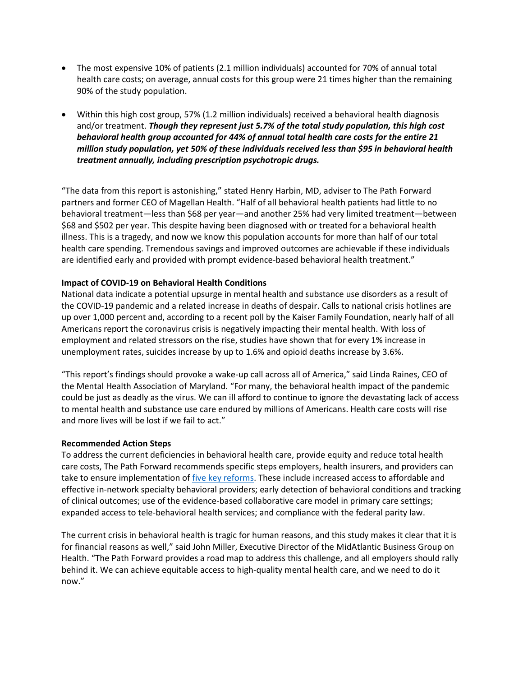- The most expensive 10% of patients (2.1 million individuals) accounted for 70% of annual total health care costs; on average, annual costs for this group were 21 times higher than the remaining 90% of the study population.
- Within this high cost group, 57% (1.2 million individuals) received a behavioral health diagnosis and/or treatment. *Though they represent just 5.7% of the total study population, this high cost behavioral health group accounted for 44% of annual total health care costs for the entire 21 million study population, yet 50% of these individuals received less than \$95 in behavioral health treatment annually, including prescription psychotropic drugs.*

"The data from this report is astonishing," stated Henry Harbin, MD, adviser to The Path Forward partners and former CEO of Magellan Health. "Half of all behavioral health patients had little to no behavioral treatment—less than \$68 per year—and another 25% had very limited treatment—between \$68 and \$502 per year. This despite having been diagnosed with or treated for a behavioral health illness. This is a tragedy, and now we know this population accounts for more than half of our total health care spending. Tremendous savings and improved outcomes are achievable if these individuals are identified early and provided with prompt evidence-based behavioral health treatment."

## **Impact of COVID-19 on Behavioral Health Conditions**

National data indicate a potential upsurge in mental health and substance use disorders as a result of the COVID-19 pandemic and a related increase in deaths of despair. Calls to national crisis hotlines are up over 1,000 percent and, according to a recent poll by the Kaiser Family Foundation, nearly half of all Americans report the coronavirus crisis is negatively impacting their mental health. With loss of employment and related stressors on the rise, studies have shown that for every 1% increase in unemployment rates, suicides increase by up to 1.6% and opioid deaths increase by 3.6%.

"This report's findings should provoke a wake-up call across all of America," said Linda Raines, CEO of the Mental Health Association of Maryland. "For many, the behavioral health impact of the pandemic could be just as deadly as the virus. We can ill afford to continue to ignore the devastating lack of access to mental health and substance use care endured by millions of Americans. Health care costs will rise and more lives will be lost if we fail to act."

#### **Recommended Action Steps**

To address the current deficiencies in behavioral health care, provide equity and reduce total health care costs, The Path Forward recommends specific steps employers, health insurers, and providers can take to ensure implementation of [five key reforms.](https://higherlogicdownload.s3.amazonaws.com/NAHPC/3d988744-80e1-414b-8881-aa2c98621788/UploadedImages/Health_Equity_Demands_Improved_Access_and_Better_Treatment_FINAL.pdf) These include increased access to affordable and effective in-network specialty behavioral providers; early detection of behavioral conditions and tracking of clinical outcomes; use of the evidence-based collaborative care model in primary care settings; expanded access to tele-behavioral health services; and compliance with the federal parity law.

The current crisis in behavioral health is tragic for human reasons, and this study makes it clear that it is for financial reasons as well," said John Miller, Executive Director of the MidAtlantic Business Group on Health. "The Path Forward provides a road map to address this challenge, and all employers should rally behind it. We can achieve equitable access to high-quality mental health care, and we need to do it now."